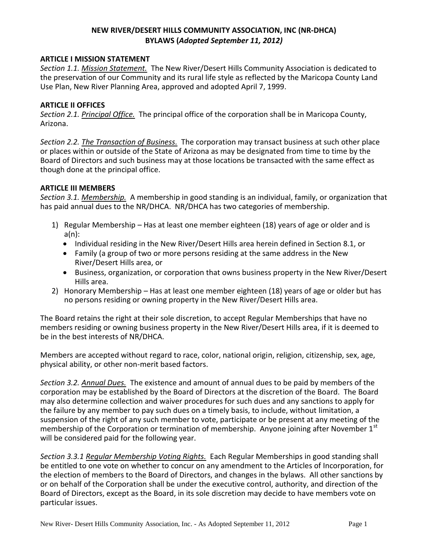# **NEW RIVER/DESERT HILLS COMMUNITY ASSOCIATION, INC (NR-DHCA) BYLAWS (***Adopted September 11, 2012)*

#### **ARTICLE I MISSION STATEMENT**

*Section 1.1. Mission Statement.* The New River/Desert Hills Community Association is dedicated to the preservation of our Community and its rural life style as reflected by the Maricopa County Land Use Plan, New River Planning Area, approved and adopted April 7, 1999.

#### **ARTICLE II OFFICES**

*Section 2.1. Principal Office.* The principal office of the corporation shall be in Maricopa County, Arizona.

*Section 2.2. The Transaction of Business.* The corporation may transact business at such other place or places within or outside of the State of Arizona as may be designated from time to time by the Board of Directors and such business may at those locations be transacted with the same effect as though done at the principal office.

#### **ARTICLE III MEMBERS**

*Section 3.1. Membership.* A membership in good standing is an individual, family, or organization that has paid annual dues to the NR/DHCA. NR/DHCA has two categories of membership.

- 1) Regular Membership Has at least one member eighteen (18) years of age or older and is a(n):
	- Individual residing in the New River/Desert Hills area herein defined in Section 8.1, or
	- Family (a group of two or more persons residing at the same address in the New River/Desert Hills area, or
	- Business, organization, or corporation that owns business property in the New River/Desert Hills area.
- 2) Honorary Membership Has at least one member eighteen (18) years of age or older but has no persons residing or owning property in the New River/Desert Hills area.

The Board retains the right at their sole discretion, to accept Regular Memberships that have no members residing or owning business property in the New River/Desert Hills area, if it is deemed to be in the best interests of NR/DHCA.

Members are accepted without regard to race, color, national origin, religion, citizenship, sex, age, physical ability, or other non-merit based factors.

*Section 3.2. Annual Dues.* The existence and amount of annual dues to be paid by members of the corporation may be established by the Board of Directors at the discretion of the Board. The Board may also determine collection and waiver procedures for such dues and any sanctions to apply for the failure by any member to pay such dues on a timely basis, to include, without limitation, a suspension of the right of any such member to vote, participate or be present at any meeting of the membership of the Corporation or termination of membership. Anyone joining after November 1<sup>st</sup> will be considered paid for the following year.

*Section 3.3.1 Regular Membership Voting Rights.* Each Regular Memberships in good standing shall be entitled to one vote on whether to concur on any amendment to the Articles of Incorporation, for the election of members to the Board of Directors, and changes in the bylaws. All other sanctions by or on behalf of the Corporation shall be under the executive control, authority, and direction of the Board of Directors, except as the Board, in its sole discretion may decide to have members vote on particular issues.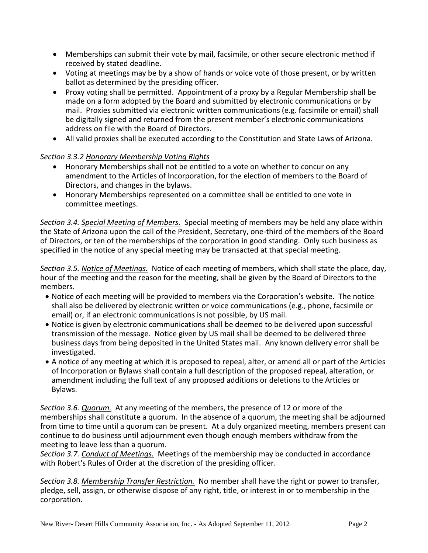- Memberships can submit their vote by mail, facsimile, or other secure electronic method if received by stated deadline.
- Voting at meetings may be by a show of hands or voice vote of those present, or by written ballot as determined by the presiding officer.
- Proxy voting shall be permitted. Appointment of a proxy by a Regular Membership shall be made on a form adopted by the Board and submitted by electronic communications or by mail. Proxies submitted via electronic written communications (e.g. facsimile or email) shall be digitally signed and returned from the present member's electronic communications address on file with the Board of Directors.
- All valid proxies shall be executed according to the Constitution and State Laws of Arizona.

# *Section 3.3.2 Honorary Membership Voting Rights*

- Honorary Memberships shall not be entitled to a vote on whether to concur on any amendment to the Articles of Incorporation, for the election of members to the Board of Directors, and changes in the bylaws.
- Honorary Memberships represented on a committee shall be entitled to one vote in committee meetings.

*Section 3.4. Special Meeting of Members.* Special meeting of members may be held any place within the State of Arizona upon the call of the President, Secretary, one-third of the members of the Board of Directors, or ten of the memberships of the corporation in good standing. Only such business as specified in the notice of any special meeting may be transacted at that special meeting.

*Section 3.5. Notice of Meetings.* Notice of each meeting of members, which shall state the place, day, hour of the meeting and the reason for the meeting, shall be given by the Board of Directors to the members.

- Notice of each meeting will be provided to members via the Corporation's website. The notice shall also be delivered by electronic written or voice communications (e.g., phone, facsimile or email) or, if an electronic communications is not possible, by US mail.
- Notice is given by electronic communications shall be deemed to be delivered upon successful transmission of the message. Notice given by US mail shall be deemed to be delivered three business days from being deposited in the United States mail. Any known delivery error shall be investigated.
- A notice of any meeting at which it is proposed to repeal, alter, or amend all or part of the Articles of Incorporation or Bylaws shall contain a full description of the proposed repeal, alteration, or amendment including the full text of any proposed additions or deletions to the Articles or Bylaws.

*Section 3.6. Quorum.* At any meeting of the members, the presence of 12 or more of the memberships shall constitute a quorum. In the absence of a quorum, the meeting shall be adjourned from time to time until a quorum can be present. At a duly organized meeting, members present can continue to do business until adjournment even though enough members withdraw from the meeting to leave less than a quorum.

*Section 3.7. Conduct of Meetings.* Meetings of the membership may be conducted in accordance with Robert's Rules of Order at the discretion of the presiding officer.

*Section 3.8. Membership Transfer Restriction.* No member shall have the right or power to transfer, pledge, sell, assign, or otherwise dispose of any right, title, or interest in or to membership in the corporation.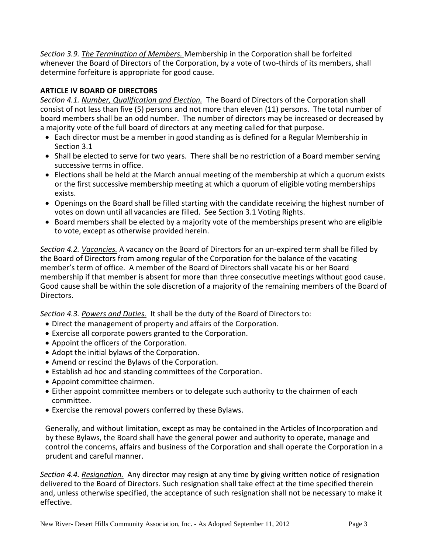*Section 3.9. The Termination of Members.* Membership in the Corporation shall be forfeited whenever the Board of Directors of the Corporation, by a vote of two-thirds of its members, shall determine forfeiture is appropriate for good cause*.*

# **ARTICLE IV BOARD OF DIRECTORS**

*Section 4.1. Number, Qualification and Election.* The Board of Directors of the Corporation shall consist of not less than five (5) persons and not more than eleven (11) persons. The total number of board members shall be an odd number. The number of directors may be increased or decreased by a majority vote of the full board of directors at any meeting called for that purpose.

- Each director must be a member in good standing as is defined for a Regular Membership in Section 3.1
- Shall be elected to serve for two years. There shall be no restriction of a Board member serving successive terms in office.
- Elections shall be held at the March annual meeting of the membership at which a quorum exists or the first successive membership meeting at which a quorum of eligible voting memberships exists.
- Openings on the Board shall be filled starting with the candidate receiving the highest number of votes on down until all vacancies are filled. See Section 3.1 Voting Rights.
- Board members shall be elected by a majority vote of the memberships present who are eligible to vote, except as otherwise provided herein.

*Section 4.2. Vacancies.* A vacancy on the Board of Directors for an un-expired term shall be filled by the Board of Directors from among regular of the Corporation for the balance of the vacating member's term of office. A member of the Board of Directors shall vacate his or her Board membership if that member is absent for more than three consecutive meetings without good cause. Good cause shall be within the sole discretion of a majority of the remaining members of the Board of Directors.

*Section 4.3. Powers and Duties.* It shall be the duty of the Board of Directors to:

- Direct the management of property and affairs of the Corporation.
- Exercise all corporate powers granted to the Corporation.
- Appoint the officers of the Corporation.
- Adopt the initial bylaws of the Corporation.
- Amend or rescind the Bylaws of the Corporation.
- Establish ad hoc and standing committees of the Corporation.
- Appoint committee chairmen.
- Either appoint committee members or to delegate such authority to the chairmen of each committee.
- Exercise the removal powers conferred by these Bylaws.

Generally, and without limitation, except as may be contained in the Articles of Incorporation and by these Bylaws, the Board shall have the general power and authority to operate, manage and control the concerns, affairs and business of the Corporation and shall operate the Corporation in a prudent and careful manner.

*Section 4.4. Resignation.* Any director may resign at any time by giving written notice of resignation delivered to the Board of Directors. Such resignation shall take effect at the time specified therein and, unless otherwise specified, the acceptance of such resignation shall not be necessary to make it effective.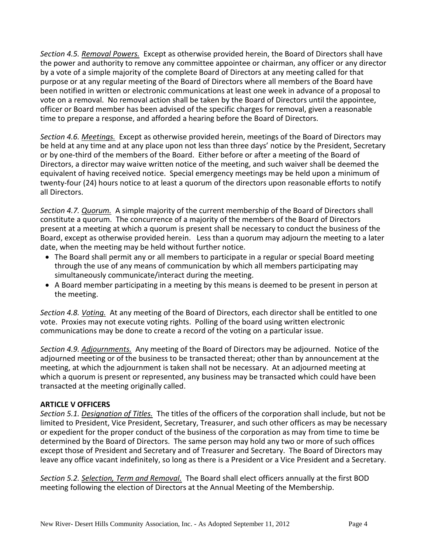*Section 4.5. Removal Powers.* Except as otherwise provided herein, the Board of Directors shall have the power and authority to remove any committee appointee or chairman, any officer or any director by a vote of a simple majority of the complete Board of Directors at any meeting called for that purpose or at any regular meeting of the Board of Directors where all members of the Board have been notified in written or electronic communications at least one week in advance of a proposal to vote on a removal. No removal action shall be taken by the Board of Directors until the appointee, officer or Board member has been advised of the specific charges for removal, given a reasonable time to prepare a response, and afforded a hearing before the Board of Directors.

*Section 4.6. Meetings.* Except as otherwise provided herein, meetings of the Board of Directors may be held at any time and at any place upon not less than three days' notice by the President, Secretary or by one-third of the members of the Board. Either before or after a meeting of the Board of Directors, a director may waive written notice of the meeting, and such waiver shall be deemed the equivalent of having received notice. Special emergency meetings may be held upon a minimum of twenty-four (24) hours notice to at least a quorum of the directors upon reasonable efforts to notify all Directors.

*Section 4.7. Quorum.* A simple majority of the current membership of the Board of Directors shall constitute a quorum. The concurrence of a majority of the members of the Board of Directors present at a meeting at which a quorum is present shall be necessary to conduct the business of the Board, except as otherwise provided herein. Less than a quorum may adjourn the meeting to a later date, when the meeting may be held without further notice.

- The Board shall permit any or all members to participate in a regular or special Board meeting through the use of any means of communication by which all members participating may simultaneously communicate/interact during the meeting.
- A Board member participating in a meeting by this means is deemed to be present in person at the meeting.

*Section 4.8. Voting.* At any meeting of the Board of Directors, each director shall be entitled to one vote. Proxies may not execute voting rights. Polling of the board using written electronic communications may be done to create a record of the voting on a particular issue.

*Section 4.9. Adjournments.* Any meeting of the Board of Directors may be adjourned. Notice of the adjourned meeting or of the business to be transacted thereat; other than by announcement at the meeting, at which the adjournment is taken shall not be necessary. At an adjourned meeting at which a quorum is present or represented, any business may be transacted which could have been transacted at the meeting originally called.

### **ARTICLE V OFFICERS**

*Section 5.1. Designation of Titles.* The titles of the officers of the corporation shall include, but not be limited to President, Vice President, Secretary, Treasurer, and such other officers as may be necessary or expedient for the proper conduct of the business of the corporation as may from time to time be determined by the Board of Directors. The same person may hold any two or more of such offices except those of President and Secretary and of Treasurer and Secretary. The Board of Directors may leave any office vacant indefinitely, so long as there is a President or a Vice President and a Secretary.

*Section 5.2. Selection, Term and Removal.* The Board shall elect officers annually at the first BOD meeting following the election of Directors at the Annual Meeting of the Membership.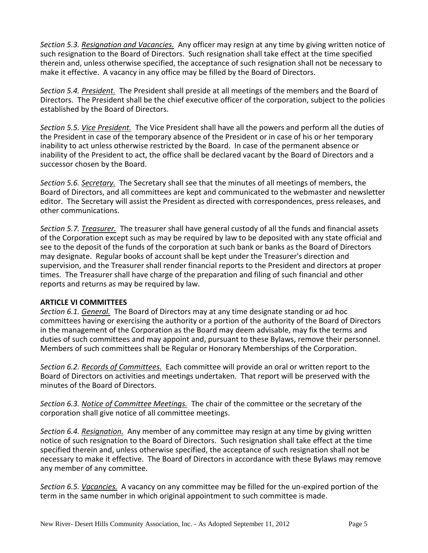*Section 5.3. Resignation and Vacancies.* Any officer may resign at any time by giving written notice of such resignation to the Board of Directors. Such resignation shall take effect at the time specified therein and, unless otherwise specified, the acceptance of such resignation shall not be necessary to make it effective. A vacancy in any office may be filled by the Board of Directors.

*Section 5.4. President.* The President shall preside at all meetings of the members and the Board of Directors. The President shall be the chief executive officer of the corporation, subject to the policies established by the Board of Directors.

*Section 5.5. Vice President.* The Vice President shall have all the powers and perform all the duties of the President in case of the temporary absence of the President or in case of his or her temporary inability to act unless otherwise restricted by the Board. In case of the permanent absence or inability of the President to act, the office shall be declared vacant by the Board of Directors and a successor chosen by the Board.

*Section 5.6. Secretary.* The Secretary shall see that the minutes of all meetings of members, the Board of Directors, and all committees are kept and communicated to the webmaster and newsletter editor. The Secretary will assist the President as directed with correspondences, press releases, and other communications.

*Section 5.7. Treasurer.* The treasurer shall have general custody of all the funds and financial assets of the Corporation except such as may be required by law to be deposited with any state official and see to the deposit of the funds of the corporation at such bank or banks as the Board of Directors may designate. Regular books of account shall be kept under the Treasurer's direction and supervision, and the Treasurer shall render financial reports to the President and directors at proper times. The Treasurer shall have charge of the preparation and filing of such financial and other reports and returns as may be required by law.

#### **ARTICLE VI COMMITTEES**

*Section 6.1. General.* The Board of Directors may at any time designate standing or ad hoc committees having or exercising the authority or a portion of the authority of the Board of Directors in the management of the Corporation as the Board may deem advisable, may fix the terms and duties of such committees and may appoint and, pursuant to these Bylaws, remove their personnel. Members of such committees shall be Regular or Honorary Memberships of the Corporation.

*Section 6.2. Records of Committees.* Each committee will provide an oral or written report to the Board of Directors on activities and meetings undertaken. That report will be preserved with the minutes of the Board of Directors.

*Section 6.3. Notice of Committee Meetings.* The chair of the committee or the secretary of the corporation shall give notice of all committee meetings.

*Section 6.4. Resignation.* Any member of any committee may resign at any time by giving written notice of such resignation to the Board of Directors. Such resignation shall take effect at the time specified therein and, unless otherwise specified, the acceptance of such resignation shall not be necessary to make it effective. The Board of Directors in accordance with these Bylaws may remove any member of any committee.

*Section 6.5. Vacancies.* A vacancy on any committee may be filled for the un-expired portion of the term in the same number in which original appointment to such committee is made.